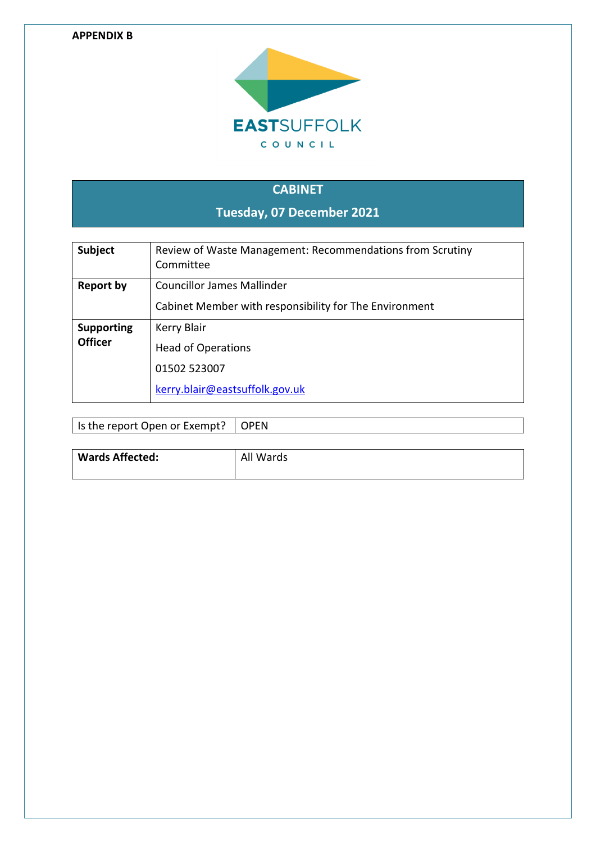#### **APPENDIX B**



# **CABINET Tuesday, 07 December 2021**

| <b>Subject</b>                      | Review of Waste Management: Recommendations from Scrutiny<br>Committee                      |
|-------------------------------------|---------------------------------------------------------------------------------------------|
| <b>Report by</b>                    | <b>Councillor James Mallinder</b><br>Cabinet Member with responsibility for The Environment |
| <b>Supporting</b><br><b>Officer</b> | Kerry Blair<br><b>Head of Operations</b><br>01502 523007<br>kerry.blair@eastsuffolk.gov.uk  |

| Is the report Open or Exempt?   OPEN |  |
|--------------------------------------|--|
|                                      |  |

| <b>Wards Affected:</b> | All Wards |
|------------------------|-----------|
|                        |           |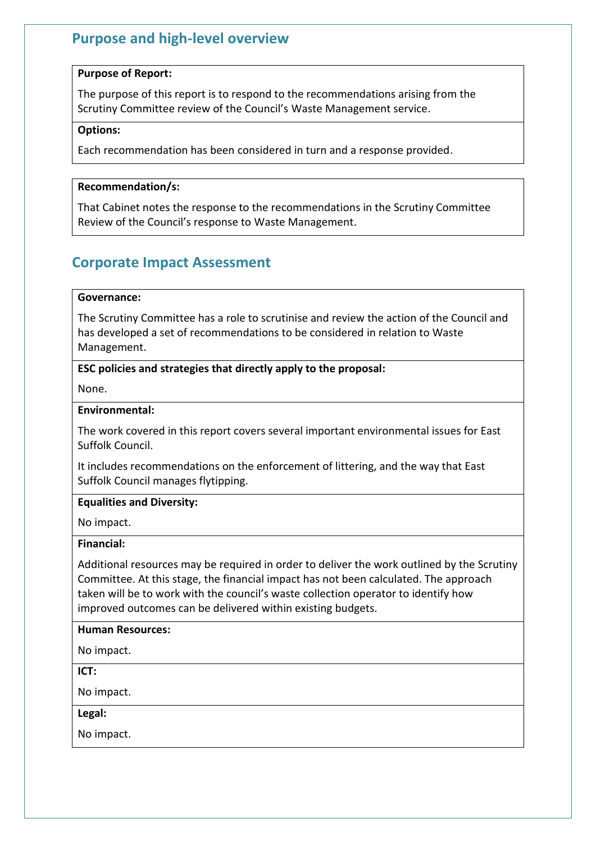### **Purpose and high-level overview**

### **Purpose of Report:**

The purpose of this report is to respond to the recommendations arising from the Scrutiny Committee review of the Council's Waste Management service.

### **Options:**

Each recommendation has been considered in turn and a response provided.

### **Recommendation/s:**

That Cabinet notes the response to the recommendations in the Scrutiny Committee Review of the Council's response to Waste Management.

### **Corporate Impact Assessment**

### **Governance:**

The Scrutiny Committee has a role to scrutinise and review the action of the Council and has developed a set of recommendations to be considered in relation to Waste Management.

### **ESC policies and strategies that directly apply to the proposal:**

None.

### **Environmental:**

The work covered in this report covers several important environmental issues for East Suffolk Council.

It includes recommendations on the enforcement of littering, and the way that East Suffolk Council manages flytipping.

### **Equalities and Diversity:**

No impact.

### **Financial:**

Additional resources may be required in order to deliver the work outlined by the Scrutiny Committee. At this stage, the financial impact has not been calculated. The approach taken will be to work with the council's waste collection operator to identify how improved outcomes can be delivered within existing budgets.

### **Human Resources:**

No impact.

**ICT:**

No impact.

**Legal:**

No impact.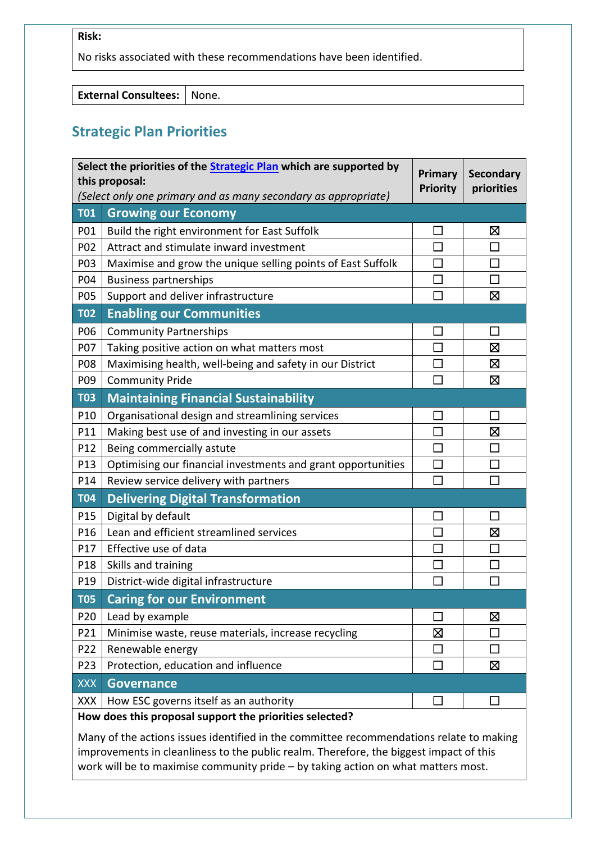### **Risk:**

No risks associated with these recommendations have been identified.

**External Consultees:** None.

### **Strategic Plan Priorities**

|            | Select the priorities of the <b>Strategic Plan</b> which are supported by<br>Primary<br><b>Secondary</b><br>this proposal: |              |             |  |
|------------|----------------------------------------------------------------------------------------------------------------------------|--------------|-------------|--|
|            | <b>Priority</b><br>priorities<br>(Select only one primary and as many secondary as appropriate)                            |              |             |  |
| <b>T01</b> | <b>Growing our Economy</b>                                                                                                 |              |             |  |
| P01        | Build the right environment for East Suffolk                                                                               |              | ⊠           |  |
| P02        | Attract and stimulate inward investment                                                                                    |              | П           |  |
| P03        | Maximise and grow the unique selling points of East Suffolk                                                                | $\Box$       | $\Box$      |  |
| P04        | <b>Business partnerships</b>                                                                                               | $\Box$       | П           |  |
| P05        | Support and deliver infrastructure                                                                                         | П            | 区           |  |
| <b>T02</b> | <b>Enabling our Communities</b>                                                                                            |              |             |  |
| P06        | <b>Community Partnerships</b>                                                                                              |              | П           |  |
| P07        | Taking positive action on what matters most                                                                                | $\Box$       | $\boxtimes$ |  |
| P08        | Maximising health, well-being and safety in our District                                                                   |              | Σ           |  |
| P09        | <b>Community Pride</b>                                                                                                     |              | 区           |  |
| <b>T03</b> | <b>Maintaining Financial Sustainability</b>                                                                                |              |             |  |
| P10        | Organisational design and streamlining services                                                                            |              | П           |  |
| P11        | Making best use of and investing in our assets                                                                             | П            | 区           |  |
| P12        | Being commercially astute                                                                                                  |              | Π           |  |
| P13        | Optimising our financial investments and grant opportunities                                                               |              |             |  |
| P14        | Review service delivery with partners                                                                                      | П            | П           |  |
| <b>T04</b> | <b>Delivering Digital Transformation</b>                                                                                   |              |             |  |
| P15        | Digital by default                                                                                                         | $\Box$       | $\Box$      |  |
| P16        | Lean and efficient streamlined services                                                                                    | П            | ⊠           |  |
| P17        | Effective use of data                                                                                                      |              | П           |  |
| P18        | Skills and training                                                                                                        |              |             |  |
| P19        | District-wide digital infrastructure                                                                                       | $\mathbf{I}$ |             |  |
| <b>T05</b> | <b>Caring for our Environment</b>                                                                                          |              |             |  |
| P20        | Lead by example                                                                                                            |              | 区           |  |
| P21        | Minimise waste, reuse materials, increase recycling                                                                        | ⊠            |             |  |
| P22        | Renewable energy                                                                                                           |              | П           |  |
| P23        | Protection, education and influence                                                                                        |              | 区           |  |
| <b>XXX</b> | <b>Governance</b>                                                                                                          |              |             |  |
| <b>XXX</b> | How ESC governs itself as an authority                                                                                     |              | $\sim$      |  |
|            | How does this proposal support the priorities selected?                                                                    |              |             |  |

Many of the actions issues identified in the committee recommendations relate to making improvements in cleanliness to the public realm. Therefore, the biggest impact of this work will be to maximise community pride – by taking action on what matters most.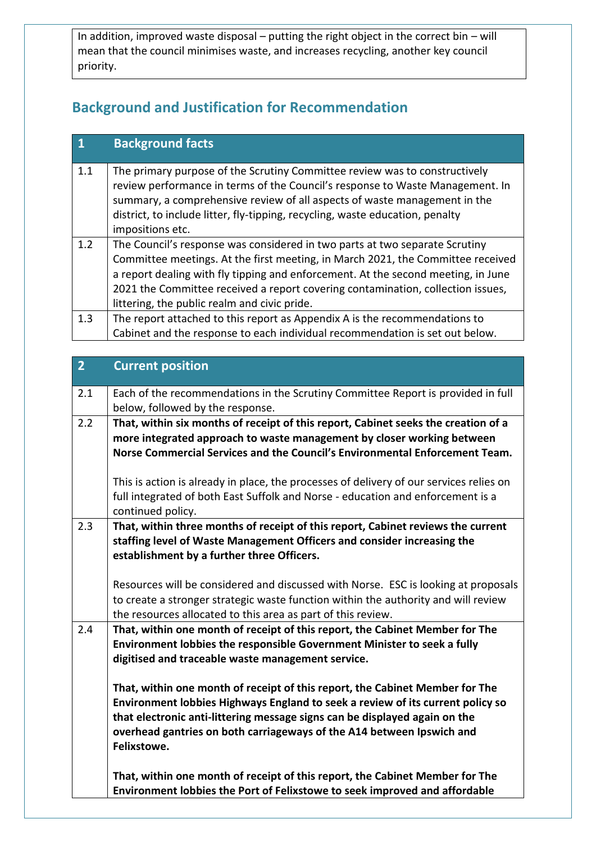In addition, improved waste disposal – putting the right object in the correct bin – will mean that the council minimises waste, and increases recycling, another key council priority.

## **Background and Justification for Recommendation**

|     | <b>Background facts</b>                                                                                                                                                                                                                                                                                                                                                                |
|-----|----------------------------------------------------------------------------------------------------------------------------------------------------------------------------------------------------------------------------------------------------------------------------------------------------------------------------------------------------------------------------------------|
| 1.1 | The primary purpose of the Scrutiny Committee review was to constructively<br>review performance in terms of the Council's response to Waste Management. In<br>summary, a comprehensive review of all aspects of waste management in the<br>district, to include litter, fly-tipping, recycling, waste education, penalty<br>impositions etc.                                          |
| 1.2 | The Council's response was considered in two parts at two separate Scrutiny<br>Committee meetings. At the first meeting, in March 2021, the Committee received<br>a report dealing with fly tipping and enforcement. At the second meeting, in June<br>2021 the Committee received a report covering contamination, collection issues,<br>littering, the public realm and civic pride. |
| 1.3 | The report attached to this report as Appendix A is the recommendations to<br>Cabinet and the response to each individual recommendation is set out below.                                                                                                                                                                                                                             |

| $\overline{2}$ | <b>Current position</b>                                                                                                                                                                                                                                                                                                                                                                                                                                                                                                                                                                                                                                                                                            |
|----------------|--------------------------------------------------------------------------------------------------------------------------------------------------------------------------------------------------------------------------------------------------------------------------------------------------------------------------------------------------------------------------------------------------------------------------------------------------------------------------------------------------------------------------------------------------------------------------------------------------------------------------------------------------------------------------------------------------------------------|
| 2.1            | Each of the recommendations in the Scrutiny Committee Report is provided in full<br>below, followed by the response.                                                                                                                                                                                                                                                                                                                                                                                                                                                                                                                                                                                               |
| 2.2            | That, within six months of receipt of this report, Cabinet seeks the creation of a<br>more integrated approach to waste management by closer working between<br>Norse Commercial Services and the Council's Environmental Enforcement Team.<br>This is action is already in place, the processes of delivery of our services relies on<br>full integrated of both East Suffolk and Norse - education and enforcement is a<br>continued policy.                                                                                                                                                                                                                                                                     |
| 2.3            | That, within three months of receipt of this report, Cabinet reviews the current<br>staffing level of Waste Management Officers and consider increasing the<br>establishment by a further three Officers.<br>Resources will be considered and discussed with Norse. ESC is looking at proposals<br>to create a stronger strategic waste function within the authority and will review<br>the resources allocated to this area as part of this review.                                                                                                                                                                                                                                                              |
| 2.4            | That, within one month of receipt of this report, the Cabinet Member for The<br>Environment lobbies the responsible Government Minister to seek a fully<br>digitised and traceable waste management service.<br>That, within one month of receipt of this report, the Cabinet Member for The<br>Environment lobbies Highways England to seek a review of its current policy so<br>that electronic anti-littering message signs can be displayed again on the<br>overhead gantries on both carriageways of the A14 between Ipswich and<br>Felixstowe.<br>That, within one month of receipt of this report, the Cabinet Member for The<br>Environment lobbies the Port of Felixstowe to seek improved and affordable |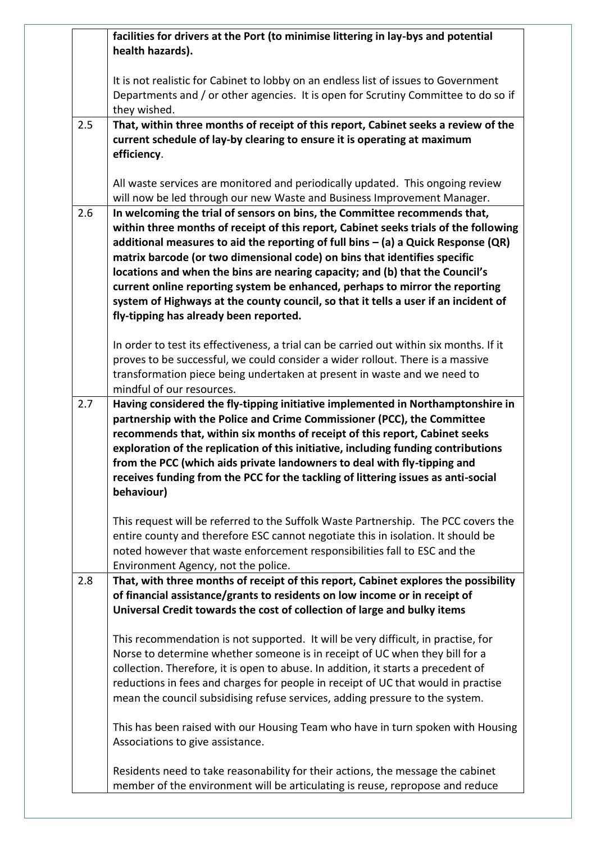|     | facilities for drivers at the Port (to minimise littering in lay-bys and potential<br>health hazards).                                                                                                                                                                                                                                                                                                                                                                                                                                                    |
|-----|-----------------------------------------------------------------------------------------------------------------------------------------------------------------------------------------------------------------------------------------------------------------------------------------------------------------------------------------------------------------------------------------------------------------------------------------------------------------------------------------------------------------------------------------------------------|
|     | It is not realistic for Cabinet to lobby on an endless list of issues to Government<br>Departments and / or other agencies. It is open for Scrutiny Committee to do so if<br>they wished.                                                                                                                                                                                                                                                                                                                                                                 |
| 2.5 | That, within three months of receipt of this report, Cabinet seeks a review of the                                                                                                                                                                                                                                                                                                                                                                                                                                                                        |
|     | current schedule of lay-by clearing to ensure it is operating at maximum<br>efficiency.                                                                                                                                                                                                                                                                                                                                                                                                                                                                   |
|     | All waste services are monitored and periodically updated. This ongoing review                                                                                                                                                                                                                                                                                                                                                                                                                                                                            |
| 2.6 | will now be led through our new Waste and Business Improvement Manager.<br>In welcoming the trial of sensors on bins, the Committee recommends that,                                                                                                                                                                                                                                                                                                                                                                                                      |
|     | within three months of receipt of this report, Cabinet seeks trials of the following<br>additional measures to aid the reporting of full bins $-$ (a) a Quick Response (QR)<br>matrix barcode (or two dimensional code) on bins that identifies specific<br>locations and when the bins are nearing capacity; and (b) that the Council's<br>current online reporting system be enhanced, perhaps to mirror the reporting<br>system of Highways at the county council, so that it tells a user if an incident of<br>fly-tipping has already been reported. |
|     | In order to test its effectiveness, a trial can be carried out within six months. If it<br>proves to be successful, we could consider a wider rollout. There is a massive                                                                                                                                                                                                                                                                                                                                                                                 |
|     | transformation piece being undertaken at present in waste and we need to<br>mindful of our resources.                                                                                                                                                                                                                                                                                                                                                                                                                                                     |
|     | partnership with the Police and Crime Commissioner (PCC), the Committee<br>recommends that, within six months of receipt of this report, Cabinet seeks<br>exploration of the replication of this initiative, including funding contributions<br>from the PCC (which aids private landowners to deal with fly-tipping and<br>receives funding from the PCC for the tackling of littering issues as anti-social<br>behaviour)                                                                                                                               |
|     | This request will be referred to the Suffolk Waste Partnership. The PCC covers the<br>entire county and therefore ESC cannot negotiate this in isolation. It should be                                                                                                                                                                                                                                                                                                                                                                                    |
|     | noted however that waste enforcement responsibilities fall to ESC and the<br>Environment Agency, not the police.                                                                                                                                                                                                                                                                                                                                                                                                                                          |
| 2.8 | That, with three months of receipt of this report, Cabinet explores the possibility<br>of financial assistance/grants to residents on low income or in receipt of<br>Universal Credit towards the cost of collection of large and bulky items                                                                                                                                                                                                                                                                                                             |
|     |                                                                                                                                                                                                                                                                                                                                                                                                                                                                                                                                                           |
|     | This recommendation is not supported. It will be very difficult, in practise, for<br>Norse to determine whether someone is in receipt of UC when they bill for a                                                                                                                                                                                                                                                                                                                                                                                          |
|     | collection. Therefore, it is open to abuse. In addition, it starts a precedent of                                                                                                                                                                                                                                                                                                                                                                                                                                                                         |
|     | reductions in fees and charges for people in receipt of UC that would in practise<br>mean the council subsidising refuse services, adding pressure to the system.                                                                                                                                                                                                                                                                                                                                                                                         |
|     | This has been raised with our Housing Team who have in turn spoken with Housing<br>Associations to give assistance.                                                                                                                                                                                                                                                                                                                                                                                                                                       |
|     | Residents need to take reasonability for their actions, the message the cabinet<br>member of the environment will be articulating is reuse, repropose and reduce                                                                                                                                                                                                                                                                                                                                                                                          |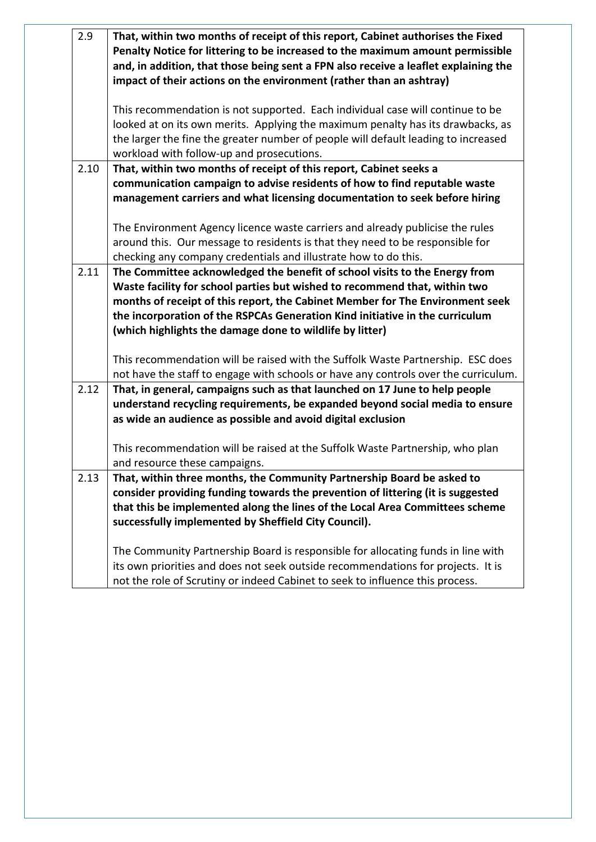| 2.9  | That, within two months of receipt of this report, Cabinet authorises the Fixed                                                                 |  |
|------|-------------------------------------------------------------------------------------------------------------------------------------------------|--|
|      | Penalty Notice for littering to be increased to the maximum amount permissible                                                                  |  |
|      | and, in addition, that those being sent a FPN also receive a leaflet explaining the                                                             |  |
|      | impact of their actions on the environment (rather than an ashtray)                                                                             |  |
|      | This recommendation is not supported. Each individual case will continue to be                                                                  |  |
|      |                                                                                                                                                 |  |
|      | looked at on its own merits. Applying the maximum penalty has its drawbacks, as                                                                 |  |
|      | the larger the fine the greater number of people will default leading to increased<br>workload with follow-up and prosecutions.                 |  |
| 2.10 |                                                                                                                                                 |  |
|      | That, within two months of receipt of this report, Cabinet seeks a<br>communication campaign to advise residents of how to find reputable waste |  |
|      | management carriers and what licensing documentation to seek before hiring                                                                      |  |
|      |                                                                                                                                                 |  |
|      | The Environment Agency licence waste carriers and already publicise the rules                                                                   |  |
|      | around this. Our message to residents is that they need to be responsible for                                                                   |  |
|      | checking any company credentials and illustrate how to do this.                                                                                 |  |
| 2.11 | The Committee acknowledged the benefit of school visits to the Energy from                                                                      |  |
|      | Waste facility for school parties but wished to recommend that, within two                                                                      |  |
|      | months of receipt of this report, the Cabinet Member for The Environment seek                                                                   |  |
|      | the incorporation of the RSPCAs Generation Kind initiative in the curriculum                                                                    |  |
|      | (which highlights the damage done to wildlife by litter)                                                                                        |  |
|      |                                                                                                                                                 |  |
|      | This recommendation will be raised with the Suffolk Waste Partnership. ESC does                                                                 |  |
|      | not have the staff to engage with schools or have any controls over the curriculum.                                                             |  |
| 2.12 | That, in general, campaigns such as that launched on 17 June to help people                                                                     |  |
|      | understand recycling requirements, be expanded beyond social media to ensure                                                                    |  |
|      | as wide an audience as possible and avoid digital exclusion                                                                                     |  |
|      |                                                                                                                                                 |  |
|      | This recommendation will be raised at the Suffolk Waste Partnership, who plan                                                                   |  |
|      | and resource these campaigns.                                                                                                                   |  |
| 2.13 | That, within three months, the Community Partnership Board be asked to                                                                          |  |
|      | consider providing funding towards the prevention of littering (it is suggested                                                                 |  |
|      | that this be implemented along the lines of the Local Area Committees scheme                                                                    |  |
|      | successfully implemented by Sheffield City Council).                                                                                            |  |
|      | The Community Partnership Board is responsible for allocating funds in line with                                                                |  |
|      | its own priorities and does not seek outside recommendations for projects. It is                                                                |  |
|      | not the role of Scrutiny or indeed Cabinet to seek to influence this process.                                                                   |  |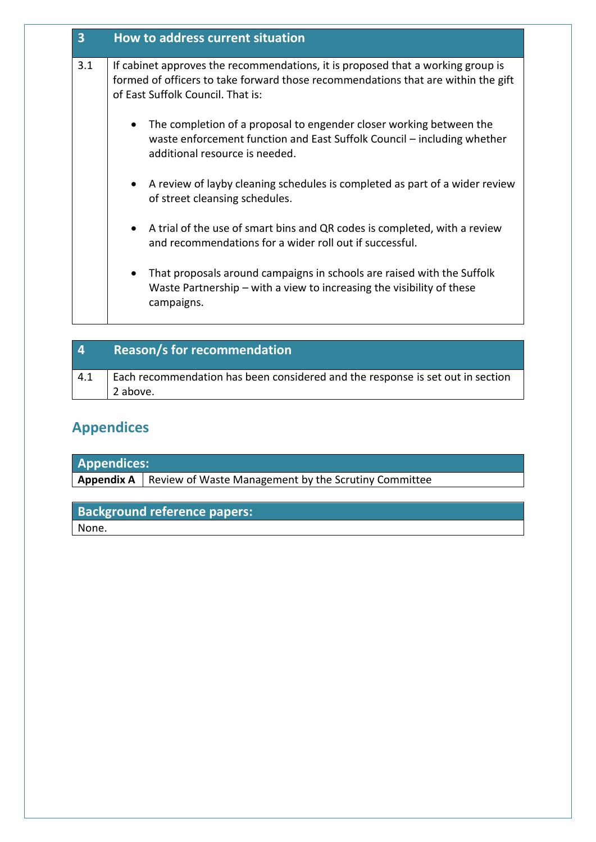| $\overline{\mathbf{3}}$ | <b>How to address current situation</b>                                                                                                                                                                   |
|-------------------------|-----------------------------------------------------------------------------------------------------------------------------------------------------------------------------------------------------------|
| 3.1                     | If cabinet approves the recommendations, it is proposed that a working group is<br>formed of officers to take forward those recommendations that are within the gift<br>of East Suffolk Council. That is: |
|                         | The completion of a proposal to engender closer working between the<br>$\bullet$<br>waste enforcement function and East Suffolk Council – including whether<br>additional resource is needed.             |
|                         | A review of layby cleaning schedules is completed as part of a wider review<br>$\bullet$<br>of street cleansing schedules.                                                                                |
|                         | A trial of the use of smart bins and QR codes is completed, with a review<br>$\bullet$<br>and recommendations for a wider roll out if successful.                                                         |
|                         | That proposals around campaigns in schools are raised with the Suffolk<br>$\bullet$<br>Waste Partnership $-$ with a view to increasing the visibility of these<br>campaigns.                              |

| $\overline{4}$ | <b>Reason/s for recommendation</b>                                                         |
|----------------|--------------------------------------------------------------------------------------------|
| 4.1            | Each recommendation has been considered and the response is set out in section<br>2 above. |

# **Appendices**

| <b>Appendices:</b> |                                                                          |  |
|--------------------|--------------------------------------------------------------------------|--|
|                    | <b>Appendix A</b>   Review of Waste Management by the Scrutiny Committee |  |

# **Background reference papers:**

None.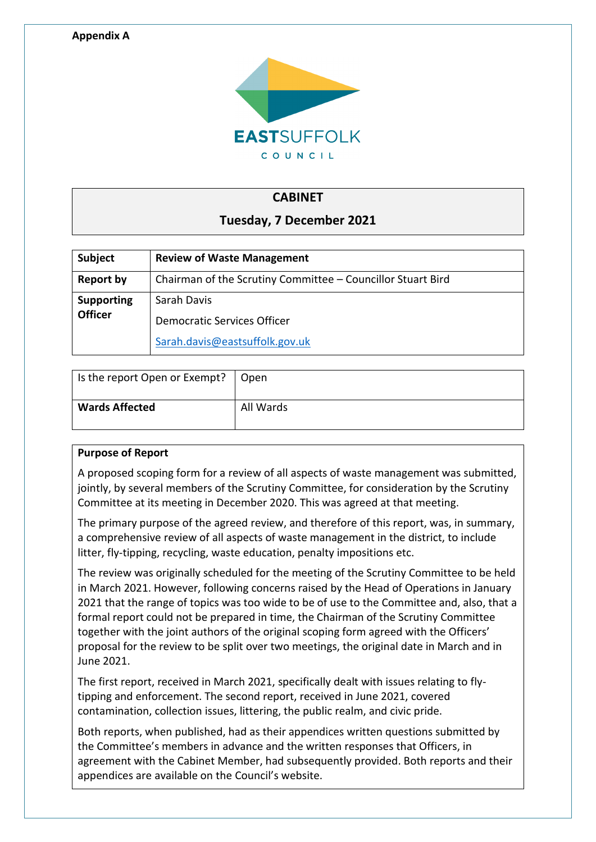

### **CABINET**

### **Tuesday, 7 December 2021**

| <b>Subject</b>    | <b>Review of Waste Management</b>                           |
|-------------------|-------------------------------------------------------------|
| Report by         | Chairman of the Scrutiny Committee - Councillor Stuart Bird |
| <b>Supporting</b> | Sarah Davis                                                 |
| <b>Officer</b>    | Democratic Services Officer                                 |
|                   | Sarah.davis@eastsuffolk.gov.uk                              |

| Is the report Open or Exempt?   Open |           |
|--------------------------------------|-----------|
| <b>Wards Affected</b>                | All Wards |

### **Purpose of Report**

A proposed scoping form for a review of all aspects of waste management was submitted, jointly, by several members of the Scrutiny Committee, for consideration by the Scrutiny Committee at its meeting in December 2020. This was agreed at that meeting.

The primary purpose of the agreed review, and therefore of this report, was, in summary, a comprehensive review of all aspects of waste management in the district, to include litter, fly-tipping, recycling, waste education, penalty impositions etc.

The review was originally scheduled for the meeting of the Scrutiny Committee to be held in March 2021. However, following concerns raised by the Head of Operations in January 2021 that the range of topics was too wide to be of use to the Committee and, also, that a formal report could not be prepared in time, the Chairman of the Scrutiny Committee together with the joint authors of the original scoping form agreed with the Officers' proposal for the review to be split over two meetings, the original date in March and in June 2021.

The first report, received in March 2021, specifically dealt with issues relating to flytipping and enforcement. The second report, received in June 2021, covered contamination, collection issues, littering, the public realm, and civic pride.

Both reports, when published, had as their appendices written questions submitted by the Committee's members in advance and the written responses that Officers, in agreement with the Cabinet Member, had subsequently provided. Both reports and their appendices are available on the Council's website.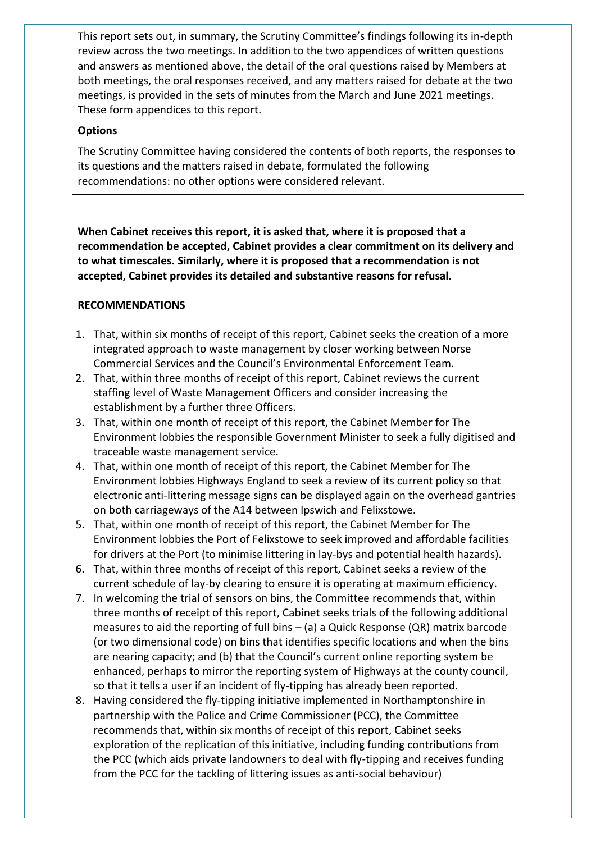This report sets out, in summary, the Scrutiny Committee's findings following its in-depth review across the two meetings. In addition to the two appendices of written questions and answers as mentioned above, the detail of the oral questions raised by Members at both meetings, the oral responses received, and any matters raised for debate at the two meetings, is provided in the sets of minutes from the March and June 2021 meetings. These form appendices to this report.

### **Options**

The Scrutiny Committee having considered the contents of both reports, the responses to its questions and the matters raised in debate, formulated the following recommendations: no other options were considered relevant.

**When Cabinet receives this report, it is asked that, where it is proposed that a recommendation be accepted, Cabinet provides a clear commitment on its delivery and to what timescales. Similarly, where it is proposed that a recommendation is not accepted, Cabinet provides its detailed and substantive reasons for refusal.** 

### **RECOMMENDATIONS**

- 1. That, within six months of receipt of this report, Cabinet seeks the creation of a more integrated approach to waste management by closer working between Norse Commercial Services and the Council's Environmental Enforcement Team.
- 2. That, within three months of receipt of this report, Cabinet reviews the current staffing level of Waste Management Officers and consider increasing the establishment by a further three Officers.
- 3. That, within one month of receipt of this report, the Cabinet Member for The Environment lobbies the responsible Government Minister to seek a fully digitised and traceable waste management service.
- 4. That, within one month of receipt of this report, the Cabinet Member for The Environment lobbies Highways England to seek a review of its current policy so that electronic anti-littering message signs can be displayed again on the overhead gantries on both carriageways of the A14 between Ipswich and Felixstowe.
- 5. That, within one month of receipt of this report, the Cabinet Member for The Environment lobbies the Port of Felixstowe to seek improved and affordable facilities for drivers at the Port (to minimise littering in lay-bys and potential health hazards).
- 6. That, within three months of receipt of this report, Cabinet seeks a review of the current schedule of lay-by clearing to ensure it is operating at maximum efficiency.
- 7. In welcoming the trial of sensors on bins, the Committee recommends that, within three months of receipt of this report, Cabinet seeks trials of the following additional measures to aid the reporting of full bins – (a) a Quick Response (QR) matrix barcode (or two dimensional code) on bins that identifies specific locations and when the bins are nearing capacity; and (b) that the Council's current online reporting system be enhanced, perhaps to mirror the reporting system of Highways at the county council, so that it tells a user if an incident of fly-tipping has already been reported.
- 8. Having considered the fly-tipping initiative implemented in Northamptonshire in partnership with the Police and Crime Commissioner (PCC), the Committee recommends that, within six months of receipt of this report, Cabinet seeks exploration of the replication of this initiative, including funding contributions from the PCC (which aids private landowners to deal with fly-tipping and receives funding from the PCC for the tackling of littering issues as anti-social behaviour)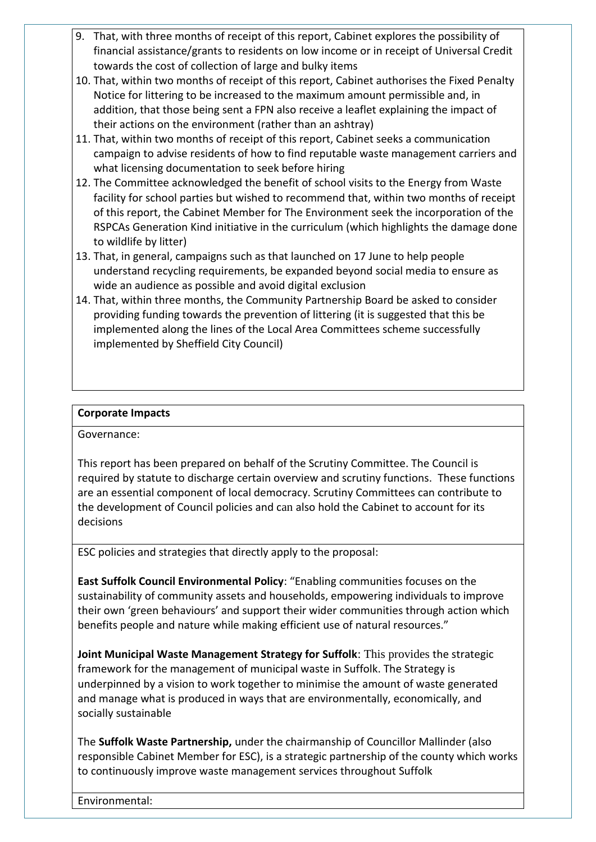- 9. That, with three months of receipt of this report, Cabinet explores the possibility of financial assistance/grants to residents on low income or in receipt of Universal Credit towards the cost of collection of large and bulky items
- 10. That, within two months of receipt of this report, Cabinet authorises the Fixed Penalty Notice for littering to be increased to the maximum amount permissible and, in addition, that those being sent a FPN also receive a leaflet explaining the impact of their actions on the environment (rather than an ashtray)
- 11. That, within two months of receipt of this report, Cabinet seeks a communication campaign to advise residents of how to find reputable waste management carriers and what licensing documentation to seek before hiring
- 12. The Committee acknowledged the benefit of school visits to the Energy from Waste facility for school parties but wished to recommend that, within two months of receipt of this report, the Cabinet Member for The Environment seek the incorporation of the RSPCAs Generation Kind initiative in the curriculum (which highlights the damage done to wildlife by litter)
- 13. That, in general, campaigns such as that launched on 17 June to help people understand recycling requirements, be expanded beyond social media to ensure as wide an audience as possible and avoid digital exclusion
- 14. That, within three months, the Community Partnership Board be asked to consider providing funding towards the prevention of littering (it is suggested that this be implemented along the lines of the Local Area Committees scheme successfully implemented by Sheffield City Council)

### **Corporate Impacts**

Governance:

This report has been prepared on behalf of the Scrutiny Committee. The Council is required by statute to discharge certain overview and scrutiny functions. These functions are an essential component of local democracy. Scrutiny Committees can contribute to the development of Council policies and can also hold the Cabinet to account for its decisions

ESC policies and strategies that directly apply to the proposal:

**East Suffolk Council Environmental Policy**: "Enabling communities focuses on the sustainability of community assets and households, empowering individuals to improve their own 'green behaviours' and support their wider communities through action which benefits people and nature while making efficient use of natural resources."

**Joint Municipal Waste Management Strategy for Suffolk**: This provides the strategic framework for the management of municipal waste in Suffolk. The Strategy is underpinned by a vision to work together to minimise the amount of waste generated and manage what is produced in ways that are environmentally, economically, and socially sustainable

The **Suffolk Waste Partnership,** under the chairmanship of Councillor Mallinder (also responsible Cabinet Member for ESC), is a strategic partnership of the county which works to continuously improve waste management services throughout Suffolk

Environmental: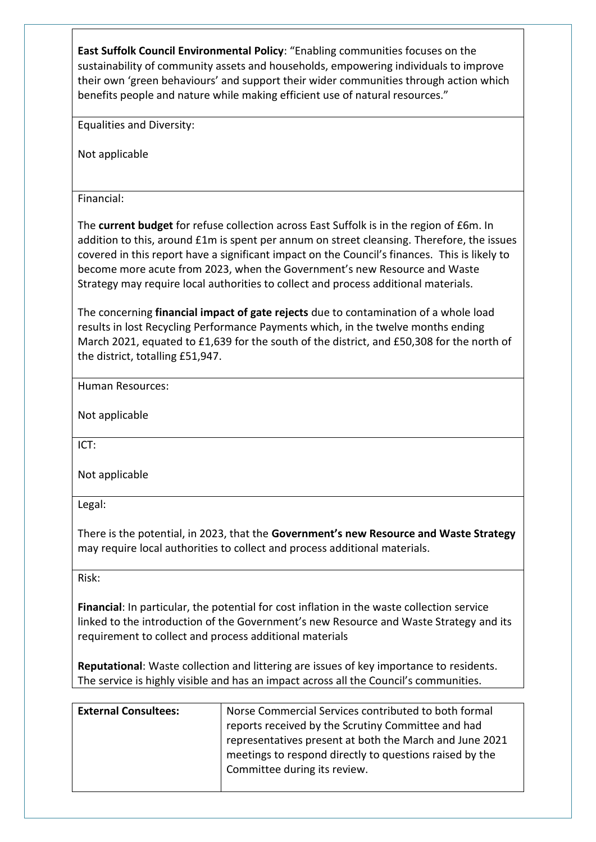**East Suffolk Council Environmental Policy**: "Enabling communities focuses on the sustainability of community assets and households, empowering individuals to improve their own 'green behaviours' and support their wider communities through action which benefits people and nature while making efficient use of natural resources."

Equalities and Diversity:

Not applicable

Financial:

The **current budget** for refuse collection across East Suffolk is in the region of £6m. In addition to this, around £1m is spent per annum on street cleansing. Therefore, the issues covered in this report have a significant impact on the Council's finances. This is likely to become more acute from 2023, when the Government's new Resource and Waste Strategy may require local authorities to collect and process additional materials.

The concerning **financial impact of gate rejects** due to contamination of a whole load results in lost Recycling Performance Payments which, in the twelve months ending March 2021, equated to £1,639 for the south of the district, and £50,308 for the north of the district, totalling £51,947.

Human Resources:

Not applicable

ICT:

Not applicable

Legal:

There is the potential, in 2023, that the **Government's new Resource and Waste Strategy** may require local authorities to collect and process additional materials.

Risk:

**Financial**: In particular, the potential for cost inflation in the waste collection service linked to the introduction of the Government's new Resource and Waste Strategy and its requirement to collect and process additional materials

**Reputational**: Waste collection and littering are issues of key importance to residents. The service is highly visible and has an impact across all the Council's communities.

| <b>External Consultees:</b> | Norse Commercial Services contributed to both formal    |  |
|-----------------------------|---------------------------------------------------------|--|
|                             | reports received by the Scrutiny Committee and had      |  |
|                             | representatives present at both the March and June 2021 |  |
|                             | meetings to respond directly to questions raised by the |  |
|                             | Committee during its review.                            |  |
|                             |                                                         |  |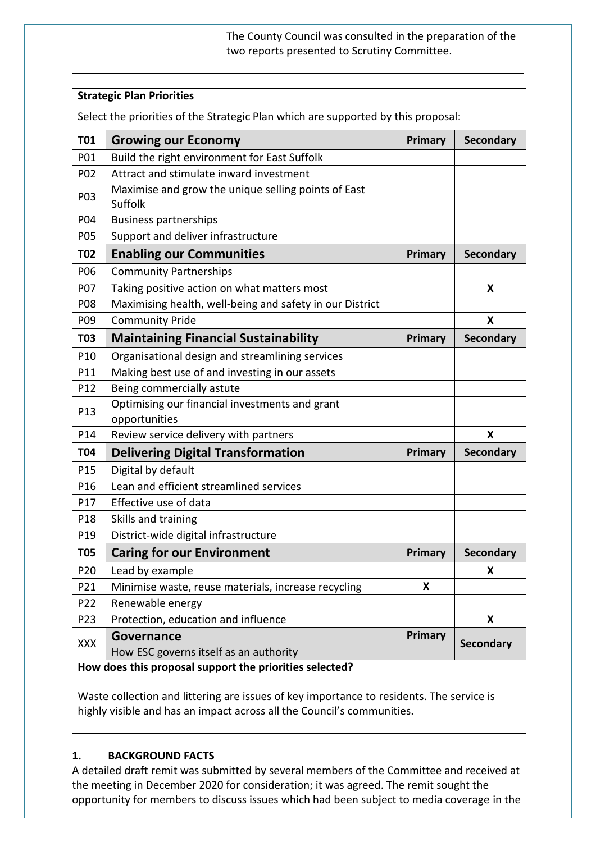| The County Council was consulted in the preparation of the |  |
|------------------------------------------------------------|--|
| two reports presented to Scrutiny Committee.               |  |
|                                                            |  |

|                                                                                   | <b>Strategic Plan Priorities</b>                                |                |                  |  |
|-----------------------------------------------------------------------------------|-----------------------------------------------------------------|----------------|------------------|--|
| Select the priorities of the Strategic Plan which are supported by this proposal: |                                                                 |                |                  |  |
| <b>T01</b>                                                                        | <b>Growing our Economy</b>                                      | Primary        | <b>Secondary</b> |  |
| P01                                                                               | Build the right environment for East Suffolk                    |                |                  |  |
| P02                                                                               | Attract and stimulate inward investment                         |                |                  |  |
| P03                                                                               | Maximise and grow the unique selling points of East<br>Suffolk  |                |                  |  |
| P04                                                                               | <b>Business partnerships</b>                                    |                |                  |  |
| P05                                                                               | Support and deliver infrastructure                              |                |                  |  |
| <b>T02</b>                                                                        | <b>Enabling our Communities</b>                                 | Primary        | <b>Secondary</b> |  |
| P06                                                                               | <b>Community Partnerships</b>                                   |                |                  |  |
| P07                                                                               | Taking positive action on what matters most                     |                | X                |  |
| P08                                                                               | Maximising health, well-being and safety in our District        |                |                  |  |
| P09                                                                               | <b>Community Pride</b>                                          |                | X                |  |
| <b>T03</b>                                                                        | <b>Maintaining Financial Sustainability</b>                     | Primary        | <b>Secondary</b> |  |
| P10                                                                               | Organisational design and streamlining services                 |                |                  |  |
| P11                                                                               | Making best use of and investing in our assets                  |                |                  |  |
| P12                                                                               | Being commercially astute                                       |                |                  |  |
| P13                                                                               | Optimising our financial investments and grant<br>opportunities |                |                  |  |
| P14                                                                               | Review service delivery with partners                           |                | X                |  |
| <b>T04</b>                                                                        | <b>Delivering Digital Transformation</b>                        | <b>Primary</b> | <b>Secondary</b> |  |
| P15                                                                               | Digital by default                                              |                |                  |  |
| P16                                                                               | Lean and efficient streamlined services                         |                |                  |  |
| P17                                                                               | Effective use of data                                           |                |                  |  |
| P <sub>18</sub>                                                                   | Skills and training                                             |                |                  |  |
| P19                                                                               | District-wide digital infrastructure                            |                |                  |  |
| <b>T05</b>                                                                        | <b>Caring for our Environment</b>                               | Primary        | Secondary        |  |
| P20                                                                               | Lead by example                                                 |                | X                |  |
| P21                                                                               | Minimise waste, reuse materials, increase recycling             | X              |                  |  |
| P22                                                                               | Renewable energy                                                |                |                  |  |
| P23                                                                               | Protection, education and influence                             |                | X                |  |
| XXX                                                                               | Governance<br>How ESC governs itself as an authority            | <b>Primary</b> | <b>Secondary</b> |  |

**How does this proposal support the priorities selected?**

Waste collection and littering are issues of key importance to residents. The service is highly visible and has an impact across all the Council's communities.

### **1. BACKGROUND FACTS**

A detailed draft remit was submitted by several members of the Committee and received at the meeting in December 2020 for consideration; it was agreed. The remit sought the opportunity for members to discuss issues which had been subject to media coverage in the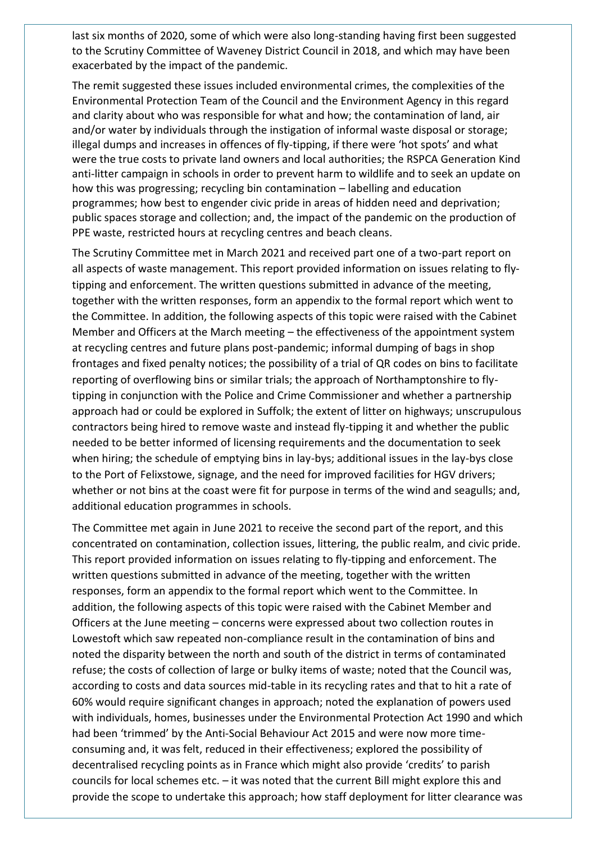last six months of 2020, some of which were also long-standing having first been suggested to the Scrutiny Committee of Waveney District Council in 2018, and which may have been exacerbated by the impact of the pandemic.

The remit suggested these issues included environmental crimes, the complexities of the Environmental Protection Team of the Council and the Environment Agency in this regard and clarity about who was responsible for what and how; the contamination of land, air and/or water by individuals through the instigation of informal waste disposal or storage; illegal dumps and increases in offences of fly-tipping, if there were 'hot spots' and what were the true costs to private land owners and local authorities; the RSPCA Generation Kind anti-litter campaign in schools in order to prevent harm to wildlife and to seek an update on how this was progressing; recycling bin contamination – labelling and education programmes; how best to engender civic pride in areas of hidden need and deprivation; public spaces storage and collection; and, the impact of the pandemic on the production of PPE waste, restricted hours at recycling centres and beach cleans.

The Scrutiny Committee met in March 2021 and received part one of a two-part report on all aspects of waste management. This report provided information on issues relating to flytipping and enforcement. The written questions submitted in advance of the meeting, together with the written responses, form an appendix to the formal report which went to the Committee. In addition, the following aspects of this topic were raised with the Cabinet Member and Officers at the March meeting – the effectiveness of the appointment system at recycling centres and future plans post-pandemic; informal dumping of bags in shop frontages and fixed penalty notices; the possibility of a trial of QR codes on bins to facilitate reporting of overflowing bins or similar trials; the approach of Northamptonshire to flytipping in conjunction with the Police and Crime Commissioner and whether a partnership approach had or could be explored in Suffolk; the extent of litter on highways; unscrupulous contractors being hired to remove waste and instead fly-tipping it and whether the public needed to be better informed of licensing requirements and the documentation to seek when hiring; the schedule of emptying bins in lay-bys; additional issues in the lay-bys close to the Port of Felixstowe, signage, and the need for improved facilities for HGV drivers; whether or not bins at the coast were fit for purpose in terms of the wind and seagulls; and, additional education programmes in schools.

The Committee met again in June 2021 to receive the second part of the report, and this concentrated on contamination, collection issues, littering, the public realm, and civic pride. This report provided information on issues relating to fly-tipping and enforcement. The written questions submitted in advance of the meeting, together with the written responses, form an appendix to the formal report which went to the Committee. In addition, the following aspects of this topic were raised with the Cabinet Member and Officers at the June meeting – concerns were expressed about two collection routes in Lowestoft which saw repeated non-compliance result in the contamination of bins and noted the disparity between the north and south of the district in terms of contaminated refuse; the costs of collection of large or bulky items of waste; noted that the Council was, according to costs and data sources mid-table in its recycling rates and that to hit a rate of 60% would require significant changes in approach; noted the explanation of powers used with individuals, homes, businesses under the Environmental Protection Act 1990 and which had been 'trimmed' by the Anti-Social Behaviour Act 2015 and were now more timeconsuming and, it was felt, reduced in their effectiveness; explored the possibility of decentralised recycling points as in France which might also provide 'credits' to parish councils for local schemes etc. – it was noted that the current Bill might explore this and provide the scope to undertake this approach; how staff deployment for litter clearance was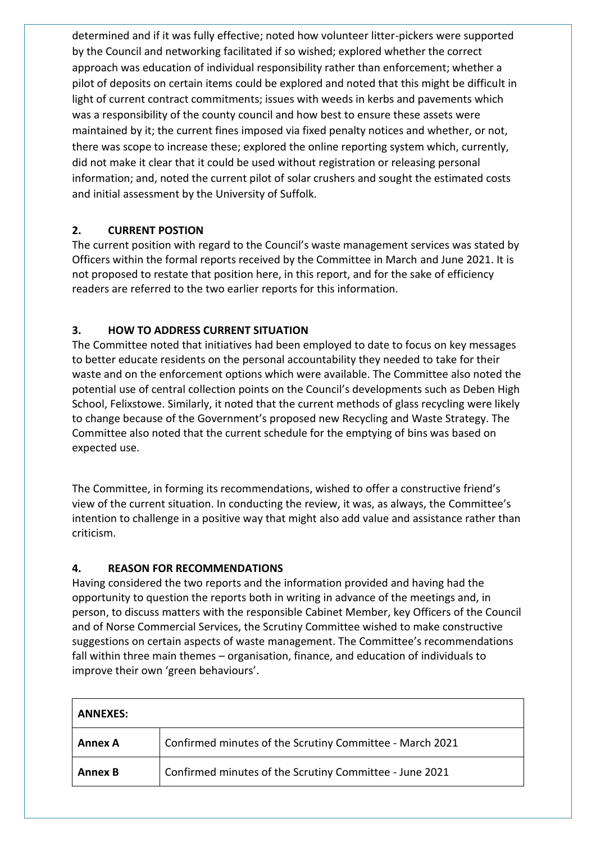determined and if it was fully effective; noted how volunteer litter-pickers were supported by the Council and networking facilitated if so wished; explored whether the correct approach was education of individual responsibility rather than enforcement; whether a pilot of deposits on certain items could be explored and noted that this might be difficult in light of current contract commitments; issues with weeds in kerbs and pavements which was a responsibility of the county council and how best to ensure these assets were maintained by it; the current fines imposed via fixed penalty notices and whether, or not, there was scope to increase these; explored the online reporting system which, currently, did not make it clear that it could be used without registration or releasing personal information; and, noted the current pilot of solar crushers and sought the estimated costs and initial assessment by the University of Suffolk.

### **2. CURRENT POSTION**

The current position with regard to the Council's waste management services was stated by Officers within the formal reports received by the Committee in March and June 2021. It is not proposed to restate that position here, in this report, and for the sake of efficiency readers are referred to the two earlier reports for this information.

### **3. HOW TO ADDRESS CURRENT SITUATION**

The Committee noted that initiatives had been employed to date to focus on key messages to better educate residents on the personal accountability they needed to take for their waste and on the enforcement options which were available. The Committee also noted the potential use of central collection points on the Council's developments such as Deben High School, Felixstowe. Similarly, it noted that the current methods of glass recycling were likely to change because of the Government's proposed new Recycling and Waste Strategy. The Committee also noted that the current schedule for the emptying of bins was based on expected use.

The Committee, in forming its recommendations, wished to offer a constructive friend's view of the current situation. In conducting the review, it was, as always, the Committee's intention to challenge in a positive way that might also add value and assistance rather than criticism.

### **4. REASON FOR RECOMMENDATIONS**

Having considered the two reports and the information provided and having had the opportunity to question the reports both in writing in advance of the meetings and, in person, to discuss matters with the responsible Cabinet Member, key Officers of the Council and of Norse Commercial Services, the Scrutiny Committee wished to make constructive suggestions on certain aspects of waste management. The Committee's recommendations fall within three main themes – organisation, finance, and education of individuals to improve their own 'green behaviours'.

| <b>ANNEXES:</b> |                                                          |  |
|-----------------|----------------------------------------------------------|--|
| Annex A         | Confirmed minutes of the Scrutiny Committee - March 2021 |  |
| <b>Annex B</b>  | Confirmed minutes of the Scrutiny Committee - June 2021  |  |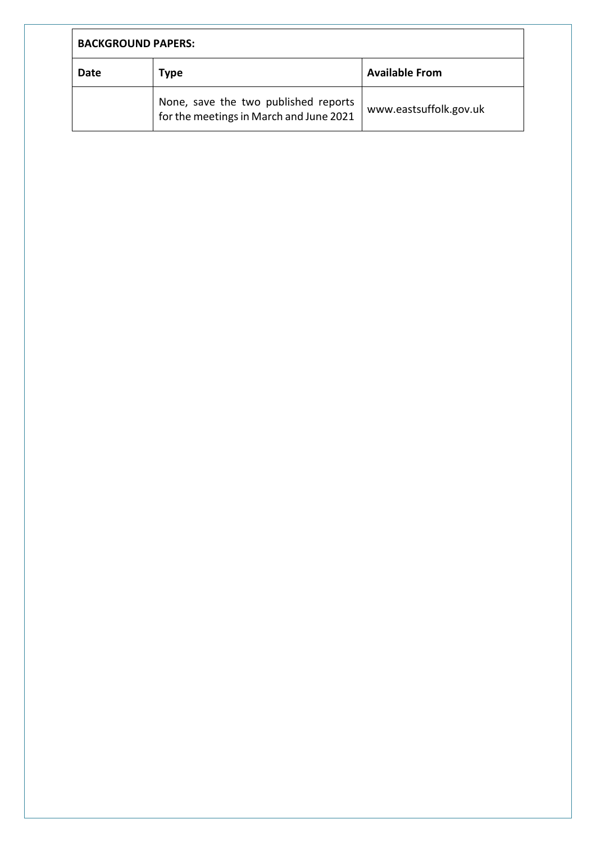| <b>BACKGROUND PAPERS:</b> |                                                                                 |                        |  |
|---------------------------|---------------------------------------------------------------------------------|------------------------|--|
| Date<br>Type              |                                                                                 | <b>Available From</b>  |  |
|                           | None, save the two published reports<br>for the meetings in March and June 2021 | www.eastsuffolk.gov.uk |  |